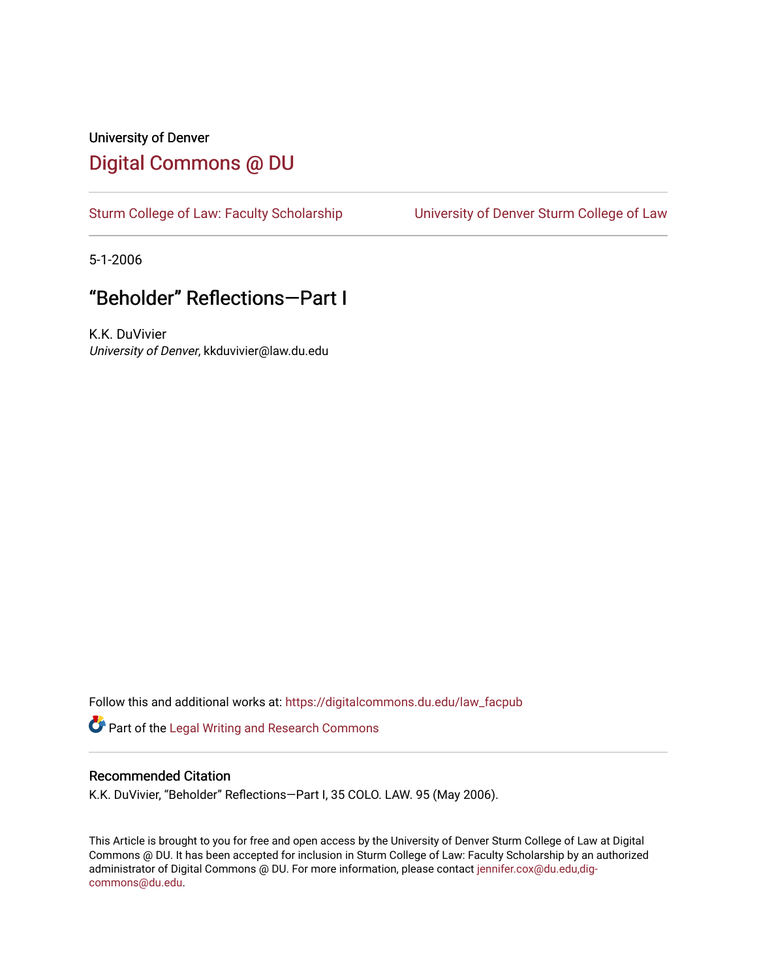## University of Denver [Digital Commons @ DU](https://digitalcommons.du.edu/)

[Sturm College of Law: Faculty Scholarship](https://digitalcommons.du.edu/law_facpub) [University of Denver Sturm College of Law](https://digitalcommons.du.edu/denver_law) 

5-1-2006

## "Beholder" Reflections—Part I

K.K. DuVivier University of Denver, kkduvivier@law.du.edu

Follow this and additional works at: [https://digitalcommons.du.edu/law\\_facpub](https://digitalcommons.du.edu/law_facpub?utm_source=digitalcommons.du.edu%2Flaw_facpub%2F423&utm_medium=PDF&utm_campaign=PDFCoverPages) 

Part of the [Legal Writing and Research Commons](http://network.bepress.com/hgg/discipline/614?utm_source=digitalcommons.du.edu%2Flaw_facpub%2F423&utm_medium=PDF&utm_campaign=PDFCoverPages) 

## Recommended Citation

K.K. DuVivier, "Beholder" Reflections—Part I, 35 COLO. LAW. 95 (May 2006).

This Article is brought to you for free and open access by the University of Denver Sturm College of Law at Digital Commons @ DU. It has been accepted for inclusion in Sturm College of Law: Faculty Scholarship by an authorized administrator of Digital Commons @ DU. For more information, please contact [jennifer.cox@du.edu,dig](mailto:jennifer.cox@du.edu,dig-commons@du.edu)[commons@du.edu.](mailto:jennifer.cox@du.edu,dig-commons@du.edu)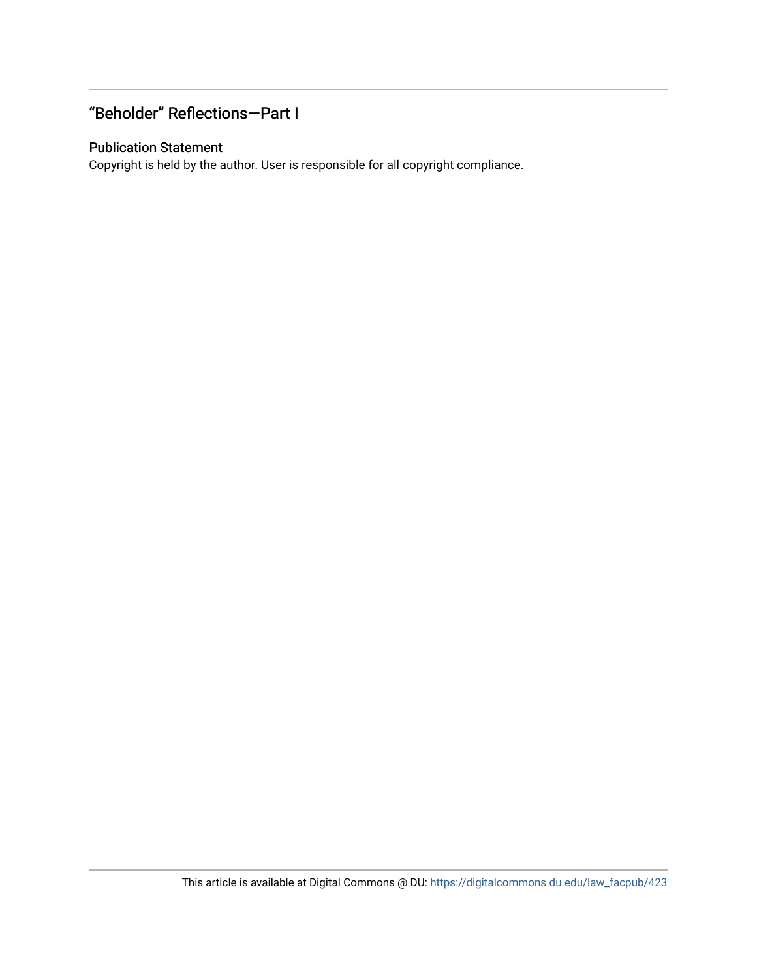## "Beholder" Reflections—Part I

## Publication Statement

Copyright is held by the author. User is responsible for all copyright compliance.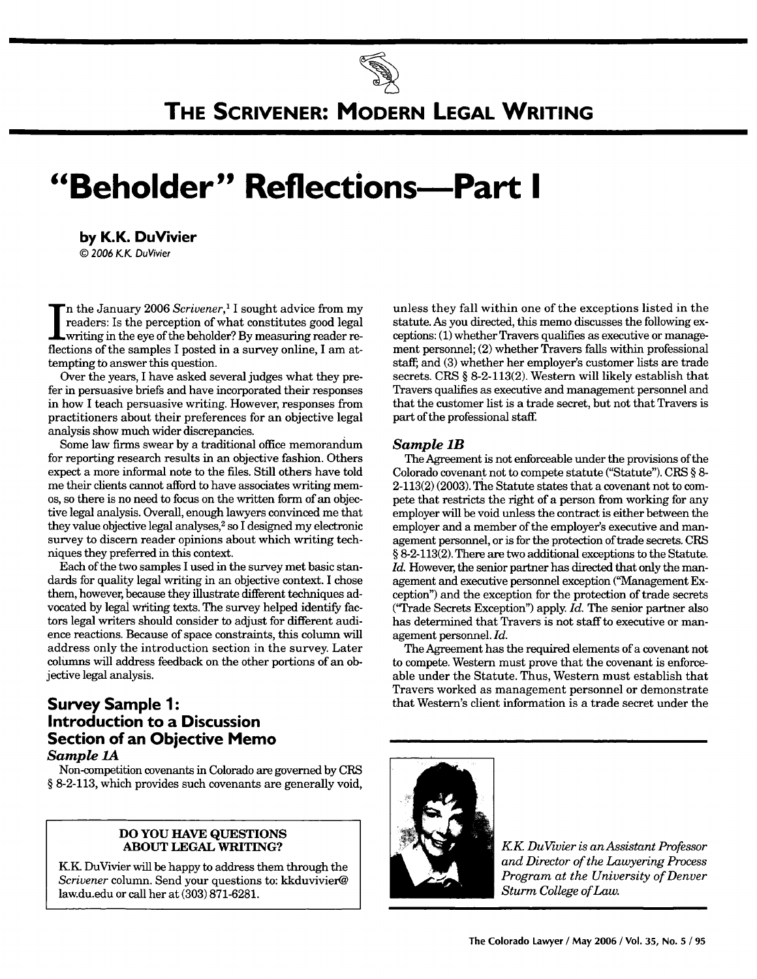

# **"Beholder" Reflections-Part I**

**by K.K. DuVivier** *©* **2006** KK DuVivier

'n the January 2006 Scrivener,<sup>1</sup> I sought advice from my readers: Is the perception of what constitutes good legal **I** writing in the eye of the beholder? By measuring reader reflections of the samples I posted in a survey online, I am attempting to answer this question.

Over the years, I have asked several judges what they prefer in persuasive briefs and have incorporated their responses in how I teach persuasive writing. However, responses from practitioners about their preferences for an objective legal analysis show much wider discrepancies.

Some law firms swear by a traditional office memorandum for reporting research results in an objective fashion. Others expect a more informal note to the files. Still others have told me their clients cannot afford to have associates writing memos, so there is no need to focus on the written form of an objective legal analysis. Overall, enough lawyers convinced me that they value objective legal analyses, $2$  so I designed my electronic survey to discern reader opinions about which writing techniques they preferred in this context.

Each of the two samples I used in the survey met basic standards for quality legal writing in an objective context. I chose them, however, because they illustrate different techniques advocated by legal writing texts. The survey helped identify factors legal writers should consider to adjust for different audience reactions. Because of space constraints, this column will address only the introduction section in the survey. Later columns will address feedback on the other portions of an objective legal analysis.

## **Survey Sample 1: Introduction to a Discussion Section of an Objective Memo** *Sample 1A*

Non-competition covenants in Colorado are governed by CRS **§** 8-2-113, which provides such covenants are generally void,

#### **DO YOU HAVE QUESTIONS ABOUT LEGAL WRITING?**

**K1K** DuVivier will be happy to address them through the *Scrivener* column. Send your questions to: kkduvivier@ law.du.edu or call her at **(303) 871-6281.**

unless they fall within one of the exceptions listed in the statute. As you directed, this memo discusses the following exceptions: (1) whether Travers qualifies as executive or management personnel; (2) whether Travers falls within professional staff; and (3) whether her employer's customer lists are trade secrets. CRS **§** 8-2-113(2). Western will likely establish that Travers qualifies as executive and management personnel and that the customer list is a trade secret, but not that Travers is part of the professional staff.

#### *Sample* **1B**

The Agreement is not enforceable under the provisions of the Colorado covenant not to compete statute ("Statute"). CRS **§** 8- 2-113(2) (2003). The Statute states that a covenant not to compete that restricts the right of a person from working for any employer will be void unless the contract is either between the employer and a member of the employer's executive and management personnel, or is for the protection of trade secrets. CRS **§** 8-2-113(2). There are two additional exceptions to the Statute. Id. However, the senior partner has directed that only the management and executive personnel exception ("Management Exception") and the exception for the protection of trade secrets ('"Trade Secrets Exception") apply. *Id.* The senior partner also has determined that Travers is not staff to executive or management personnel. *Id.*

The Agreement has the required elements of a covenant not to compete. Western must prove that the covenant is enforceable under the Statute. Thus, Western must establish that Travers worked as management personnel or demonstrate that Western's client information is a trade secret under the



*KK DuVivier is an Assistant Professor and Director of the Lawyering Process Program at the University of Denver Sturm College of Law.*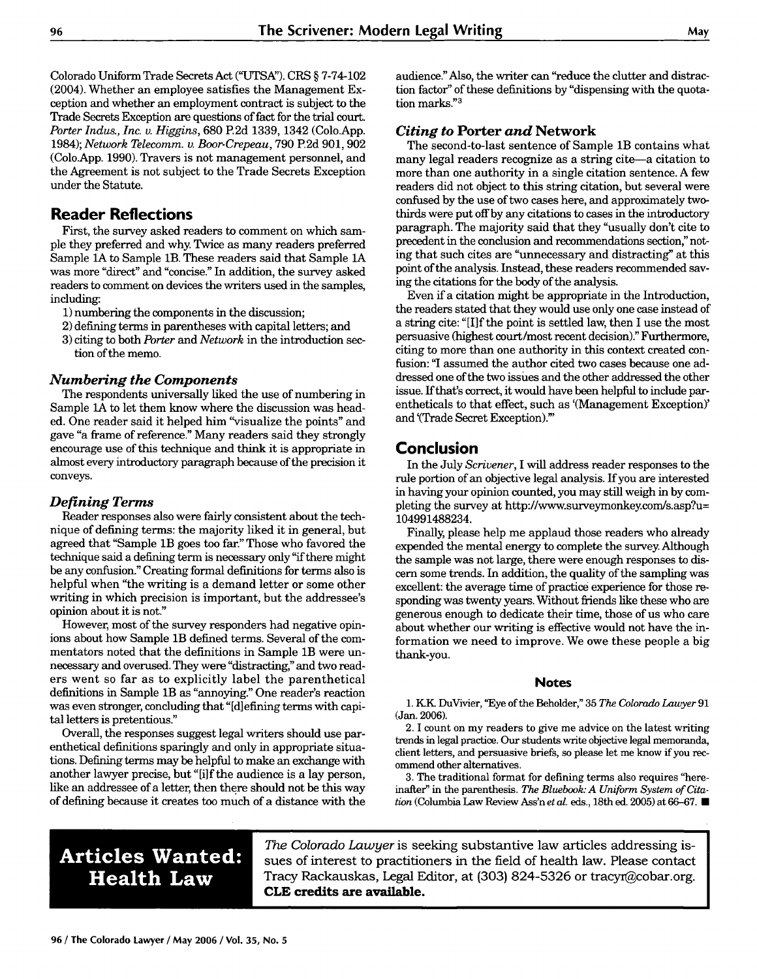Colorado Uniform Trade Secrets Act **("UTSA").** CRS § 7-74-102 (2004). Whether an employee satisfies the Management Exception and whether an employment contract is subject to the Trade Secrets Exception are questions of fact for the trial court. *Porter Indus., Inc. v. Higgins,* 680 P.2d 1339, 1342 (Colo.App. 1984); *Network Telecomm. v. Boor-Crepeau,* 790 **P2d** 901,902 (Colo.App. 1990). Travers is not management personnel, and the Agreement is not subject to the Trade Secrets Exception under the Statute.

## **Reader Reflections**

First, the survey asked readers to comment on which sample they preferred and why. Twice as many readers preferred Sample **1A** to Sample lB. These readers said that Sample **1A** was more "direct" and "concise." In addition, the survey asked readers to comment on devices the writers used in the samples, including:

1) numbering the components in the discussion;

- 2) defining terms in parentheses with capital letters; and
- 3) citing to both *Porter and Network* in the introduction section of the memo.

## *Numbering the Components*

The respondents universally liked the use of numbering in Sample **1A** to let them know where the discussion was headed. One reader said it helped him "visualize the points" and gave "a frame of reference." Many readers said they strongly encourage use of this technique and think it is appropriate in almost every introductory paragraph because of the precision it conveys.

## *Defining Terms*

Reader responses also were fairly consistent about the technique of defining terms: the majority liked it in general, but agreed that "Sample 1B goes too far." Those who favored the technique said a defining term is necessary only **"if** there might be any confusion." Creating formal definitions for terms also is helpful when "the writing is a demand letter or some other writing in which precision is important, but the addressee's opinion about it is not."

However, most of the survey responders had negative opinions about how Sample 1B defined terms. Several of the commentators noted that the definitions in Sample 1B were unnecessary and overused. They were "distracting," and two readers went so far as to explicitly label the parenthetical definitions in Sample 1B as "annoying." One reader's reaction was even stronger, concluding that "[d] efining terms with capital letters is pretentious."

Overall, the responses suggest legal writers should use parenthetical definitions sparingly and only in appropriate situations. Defining terms may be helpful to make an exchange with another lawyer precise, but "[i]f the audience is a lay person, like an addressee of a letter, then there should not be this way of defining because it creates too much of a distance with the audience." Also, the writer can "reduce the clutter and distraction factor" of these definitions by "dispensing with the quotation marks."3

## *Citing to* **Porter** *and* **Network**

The second-to-last sentence of Sample 1B contains what many legal readers recognize as a string cite-a citation to more than one authority in a single citation sentence. A few readers did not object to this string citation, but several were confused by the use of two cases here, and approximately twothirds were put off by any citations to cases in the introductory paragraph. The majority said that they "usually don't cite to precedent in the conclusion and recommendations section," noting that such cites are "unnecessary and distracting" at this point of the analysis. Instead, these readers recommended saving the citations for the body of the analysis.

Even if a citation might be appropriate in the Introduction, the readers stated that they would use only one case instead of a string cite: "[I]f the point is settled law, then I use the most persuasive (highest court/most recent decision)." Furthermore, citing to more than one authority in this context created confusion: "I assumed the author cited two cases because one addressed one of the two issues and the other addressed the other issue. If that's correct, it would have been helpful to include parentheticals to that effect, such as '(Management Exception)' and '(Trade Secret Exception)."

## **Conclusion**

In the July *Scrivener,* I will address reader responses to the rule portion of an objective legal analysis. If you are interested in having your opinion counted, you may still weigh in by completing the survey at http://www.surveymonkey.com/s.asp?u= 104991488234.

Finally, please help me applaud those readers who already expended the mental energy to complete the survey. Although the sample was not large, there were enough responses to discern some trends. In addition, the quality of the sampling was excellent: the average time of practice experience for those responding was twenty years. Without friends like these who are generous enough to dedicate their time, those of us who care about whether our writing is effective would not have the information we need to improve. We owe these people a big thank-you.

#### **Notes**

1. K.K. DuVivier, "Eye of the Beholder," 35 *The Colorado Lawyer 91* (Jan. 2006).

2. I count on my readers to give me advice on the latest writing trends in legal practice. Our students write objective legal memoranda, client letters, and persuasive briefs, so please let me know if you recommend other alternatives.

3. The traditional format for defining terms also requires "hereinafter" in the parenthesis. *The Bluebook: A Uniform System of Cita*tion (Columbia Law Review Ass'n *et al.* eds., 18th ed. 2005) at **66-67. E**

## **Articles Wanted: Health Law**

*The Colorado Lawyer* is seeking substantive law articles addressing issues of interest to practitioners in the field of health law. Please contact Tracy Rackauskas, Legal Editor, at (303) 824-5326 or tracyr@cobar.org. **CLE credits are available.**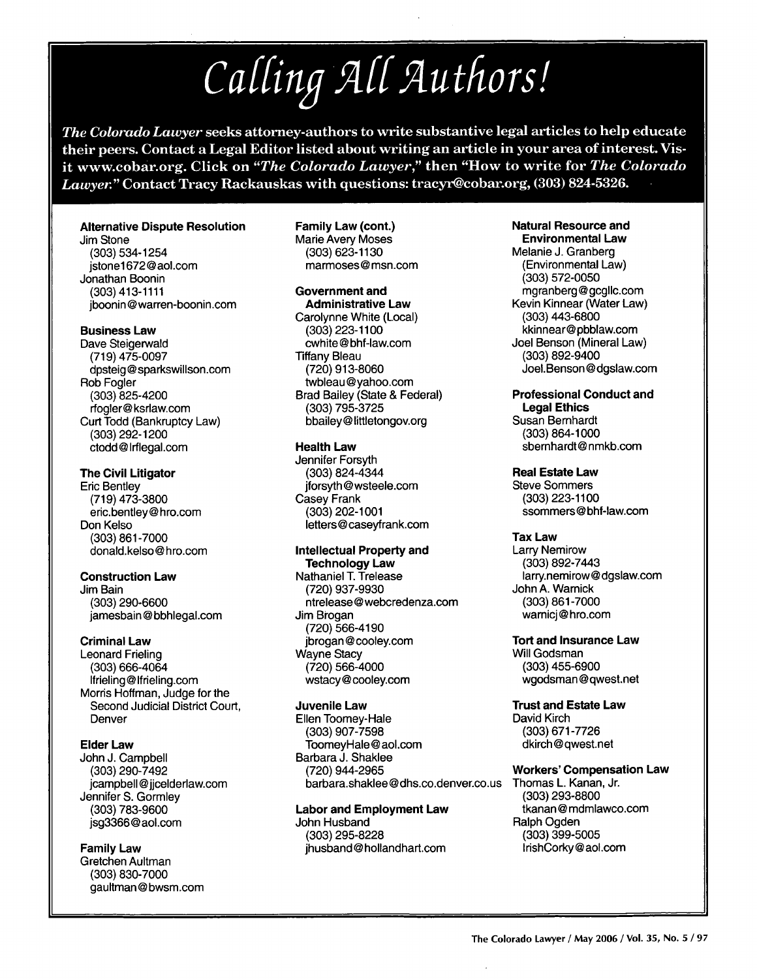Calling All Authors!

The Colorado Lauver seeks attorney-authors to write substantive legal articles to help educate their peers. Contact a Legal Editor listed about writing an article in your area of interest. Visit www.cobar.org. Click on "The Colorado Lawyer," then "How to write for The Colorado Lawyer." Contact Tracy Rackauskas with questions: tracyr@cobar.org, (303) 824-5326.

#### **Alternative Dispute Resolution**

Jim Stone (303) 534-1254 istone1672@aol.com Jonathan Boonin (303) 413-1111 iboonin@warren-boonin.com

#### **Business Law**

Dave Steigerwald (719) 475-0097 dpsteig@sparkswillson.com Rob Fogler  $(303)$  825-4200 rfooler@ksrlaw.com Curt Todd (Bankruptcy Law) (303) 292-1200 ctodd@lrflegal.com

#### **The Civil Litigator**

**Eric Bentley**  $(719)$  473-3800 eric.bentley@hro.com Don Kelso (303) 861-7000 donald.kelso@hro.com

#### **Construction Law**

Jim Bain  $(303) 290 - 6600$ jamesbain@bbhlegal.com

#### **Criminal Law**

**Leonard Frieling**  $(303) 666 - 4064$ lfrieling@lfrieling.com Morris Hoffman, Judge for the Second Judicial District Court, Denver

#### **Elder Law**

John J. Campbell (303) 290-7492 jcampbell@jjcelderlaw.com Jennifer S. Gormlev (303) 783-9600 jsg3366@aol.com

#### **Family Law** Gretchen Aultman

(303) 830-7000 gaultman@bwsm.com Family Law (cont.) Marie Avery Moses (303) 623-1130 marmoses@msn.com

#### **Government and**

**Administrative Law** Carolynne White (Local)  $(303)$  223-1100 cwhite@bhf-law.com **Tiffany Bleau** (720) 913-8060 twbleau@vahoo.com Brad Bailey (State & Federal) (303) 795-3725 bbailey@littletongov.org

#### **Health Law**

Jennifer Forsyth  $(303)$  824-4344 jforsyth@wsteele.com Casey Frank  $(303)$  202-1001 letters@casevfrank.com

#### **Intellectual Property and Technology Law**

Nathaniel T. Trelease (720) 937-9930 ntrelease@webcredenza.com Jim Brogan (720) 566-4190 ibrogan@cooley.com Wayne Stacy  $(720)$  566-4000 wstacy@cooley.com

## **Juvenile Law**

Ellen Toomey-Hale  $(303)$  907-7598 ToomevHale@aol.com Barbara J. Shaklee (720) 944-2965 barbara.shaklee@dhs.co.denver.co.us

**Labor and Employment Law** John Husband (303) 295-8228 ihusband@hollandhart.com

#### **Natural Resource and Environmental Law**

Melanie J. Granberg (Environmental Law) (303) 572-0050 mgranberg@gcgllc.com Kevin Kinnear (Water Law) (303) 443-6800 kkinnear@pbblaw.com Joel Benson (Mineral Law) (303) 892-9400 Joel.Benson@dgslaw.com

## **Professional Conduct and**

**Legal Ethics** Susan Bernhardt (303) 864-1000 sbernhardt@nmkb.com

#### **Real Estate Law**

**Steve Sommers** (303) 223-1100 ssommers@bhf-law.com

#### **Tax Law**

**Larry Nemirow** (303) 892-7443 larry.nemirow@dgslaw.com John A. Warnick (303) 861-7000 warnici@hro.com

#### **Tort and Insurance Law** Will Godsman (303) 455-6900

wgodsman@qwest.net

#### **Trust and Estate Law** David Kirch (303) 671-7726 dkirch@qwest.net

## **Workers' Compensation Law**

Thomas L. Kanan, Jr. (303) 293-8800 tkanan@mdmlawco.com Ralph Ogden  $(303)$  399-5005 IrishCorky@aol.com